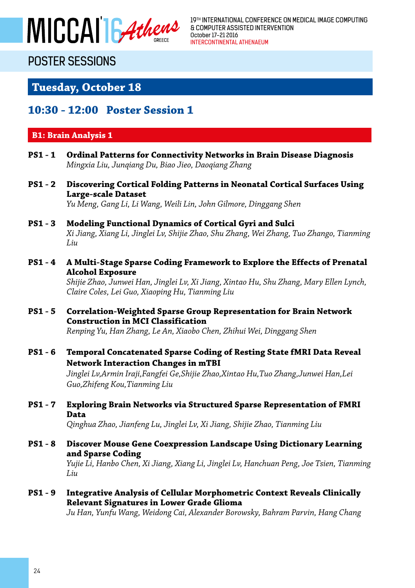

19TH INTERNATIONAL CONFERENCE ON MEDICAL IMAGE COMPUTING & COMPUTER ASSISTED INTERVENTION October 17-21 2016 INTERCONTINENTAL ATHENAEUM

## POSTER SESSIONS

### **Tuesday, October 18**

### **10:30 - 12:00 Poster Session 1**

### **B1: Brain Analysis 1**

- **PS1 1 Ordinal Patterns for Connectivity Networks in Brain Disease Diagnosis** *Mingxia Liu, Junqiang Du, Biao Jieo, Daoqiang Zhang*
- **PS1 2 Discovering Cortical Folding Patterns in Neonatal Cortical Surfaces Using Large-scale Dataset** *Yu Meng, Gang Li, Li Wang, Weili Lin, John Gilmore, Dinggang Shen*

**PS1 - 3 Modeling Functional Dynamics of Cortical Gyri and Sulci** *Xi Jiang, Xiang Li, Jinglei Lv, Shijie Zhao, Shu Zhang, Wei Zhang, Tuo Zhango, Tianming Liu*

**PS1 - 4 A Multi-Stage Sparse Coding Framework to Explore the Effects of Prenatal Alcohol Exposure**

> *Shijie Zhao, Junwei Han, Jinglei Lv, Xi Jiang, Xintao Hu, Shu Zhang, Mary Ellen Lynch, Claire Coles, Lei Guo, Xiaoping Hu, Tianming Liu*

**PS1 - 5 Correlation-Weighted Sparse Group Representation for Brain Network Construction in MCI Classification**

*Renping Yu, Han Zhang, Le An, Xiaobo Chen, Zhihui Wei, Dinggang Shen* 

**PS1 - 6 Temporal Concatenated Sparse Coding of Resting State fMRI Data Reveal Network Interaction Changes in mTBI**

> *Jinglei Lv,Armin Iraji,Fangfei Ge,Shijie Zhao,Xintao Hu,Tuo Zhang,Junwei Han,Lei Guo,Zhifeng Kou,Tianming Liu*

**PS1 - 7 Exploring Brain Networks via Structured Sparse Representation of FMRI Data**

*Qinghua Zhao, Jianfeng Lu, Jinglei Lv, Xi Jiang, Shijie Zhao, Tianming Liu*

**PS1 - 8 Discover Mouse Gene Coexpression Landscape Using Dictionary Learning and Sparse Coding**

> *Yujie Li, Hanbo Chen, Xi Jiang, Xiang Li, Jinglei Lv, Hanchuan Peng, Joe Tsien, Tianming Liu*

**PS1 - 9 Integrative Analysis of Cellular Morphometric Context Reveals Clinically Relevant Signatures in Lower Grade Glioma**

*Ju Han, Yunfu Wang, Weidong Cai, Alexander Borowsky, Bahram Parvin, Hang Chang*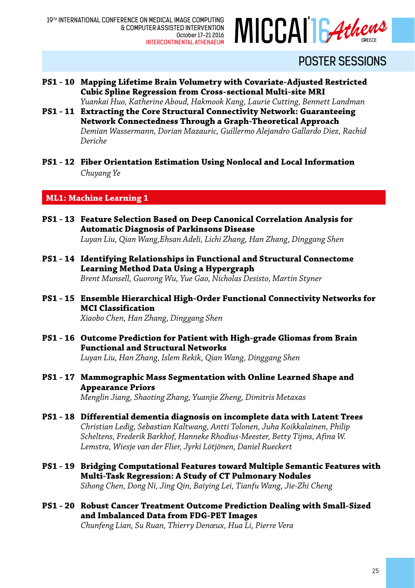

- **PS1 10 Mapping Lifetime Brain Volumetry with Covariate-Adjusted Restricted Cubic Spline Regression from Cross-sectional Multi-site MRI** *Yuankai Huo, Katherine Aboud, Hakmook Kang, Laurie Cutting, Bennett Landman*
- **PS1 11 Extracting the Core Structural Connectivity Network: Guaranteeing Network Connectedness Through a Graph-Theoretical Approach** *Demian Wassermann, Dorian Mazauric, Guillermo Alejandro Gallardo Diez, Rachid Deriche*
- **PS1 12 Fiber Orientation Estimation Using Nonlocal and Local Information** *Chuyang Ye*

**ML1: Machine Learning 1**

- **PS1 13 Feature Selection Based on Deep Canonical Correlation Analysis for Automatic Diagnosis of Parkinsons Disease** *Luyan Liu, Qian Wang,Ehsan Adeli, Lichi Zhang, Han Zhang, Dinggang Shen*
- **PS1 14 Identifying Relationships in Functional and Structural Connectome Learning Method Data Using a Hypergraph**  *Brent Munsell, Guorong Wu, Yue Gao, Nicholas Desisto, Martin Styner*
- **PS1 15 Ensemble Hierarchical High-Order Functional Connectivity Networks for MCI Classification**

*Xiaobo Chen, Han Zhang, Dinggang Shen* 

**PS1 - 16 Outcome Prediction for Patient with High-grade Gliomas from Brain Functional and Structural Networks**

*Luyan Liu, Han Zhang, Islem Rekik, Qian Wang, Dinggang Shen*

**PS1 - 17 Mammographic Mass Segmentation with Online Learned Shape and Appearance Priors**

*Menglin Jiang, Shaoting Zhang, Yuanjie Zheng, Dimitris Metaxas*

- **PS1 18 Differential dementia diagnosis on incomplete data with Latent Trees** *Christian Ledig, Sebastian Kaltwang, Antti Tolonen, Juha Koikkalainen, Philip Scheltens, Frederik Barkhof, Hanneke Rhodius-Meester, Betty Tijms, Afina W. Lemstra, Wiesje van der Flier, Jyrki Lötjönen, Daniel Rueckert*
- **PS1 19 Bridging Computational Features toward Multiple Semantic Features with Multi-Task Regression: A Study of CT Pulmonary Nodules** *Sihong Chen, Dong Ni, Jing Qin, Baiying Lei, Tianfu Wang, Jie-Zhi Cheng*
- **PS1 20 Robust Cancer Treatment Outcome Prediction Dealing with Small-Sized and Imbalanced Data from FDG-PET Images** *Chunfeng Lian, Su Ruan, Thierry Denœux, Hua Li, Pierre Vera*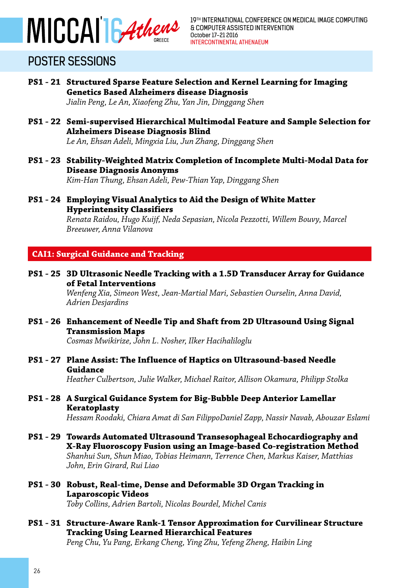

**PS1 - 21 Structured Sparse Feature Selection and Kernel Learning for Imaging Genetics Based Alzheimers disease Diagnosis**

*Jialin Peng, Le An, Xiaofeng Zhu, Yan Jin, Dinggang Shen*

**PS1 - 22 Semi-supervised Hierarchical Multimodal Feature and Sample Selection for Alzheimers Disease Diagnosis Blind**

*Le An, Ehsan Adeli, Mingxia Liu, Jun Zhang, Dinggang Shen* 

- **PS1 23 Stability-Weighted Matrix Completion of Incomplete Multi-Modal Data for Disease Diagnosis Anonyms** *Kim-Han Thung, Ehsan Adeli, Pew-Thian Yap, Dinggang Shen*
- **PS1 24 Employing Visual Analytics to Aid the Design of White Matter Hyperintensity Classifiers**

*Renata Raidou, Hugo Kuijf, Neda Sepasian, Nicola Pezzotti, Willem Bouvy, Marcel Breeuwer, Anna Vilanova*

### **CAI1: Surgical Guidance and Tracking**

**PS1 - 25 3D Ultrasonic Needle Tracking with a 1.5D Transducer Array for Guidance of Fetal Interventions**

> *Wenfeng Xia, Simeon West, Jean-Martial Mari, Sebastien Ourselin, Anna David, Adrien Desjardins*

**PS1 - 26 Enhancement of Needle Tip and Shaft from 2D Ultrasound Using Signal Transmission Maps**

*Cosmas Mwikirize, John L. Nosher, Ilker Hacihaliloglu*

**PS1 - 27 Plane Assist: The Influence of Haptics on Ultrasound-based Needle Guidance**

*Heather Culbertson, Julie Walker, Michael Raitor, Allison Okamura, Philipp Stolka*

**PS1 - 28 A Surgical Guidance System for Big-Bubble Deep Anterior Lamellar Keratoplasty**

*Hessam Roodaki, Chiara Amat di San FilippoDaniel Zapp, Nassir Navab, Abouzar Eslami* 

- **PS1 29 Towards Automated Ultrasound Transesophageal Echocardiography and X-Ray Fluoroscopy Fusion using an Image-based Co-registration Method** *Shanhui Sun, Shun Miao, Tobias Heimann, Terrence Chen, Markus Kaiser, Matthias John, Erin Girard, Rui Liao*
- **PS1 30 Robust, Real-time, Dense and Deformable 3D Organ Tracking in Laparoscopic Videos**

*Toby Collins, Adrien Bartoli, Nicolas Bourdel, Michel Canis*

**PS1 - 31 Structure-Aware Rank-1 Tensor Approximation for Curvilinear Structure Tracking Using Learned Hierarchical Features** *Peng Chu, Yu Pang, Erkang Cheng, Ying Zhu, Yefeng Zheng, Haibin Ling*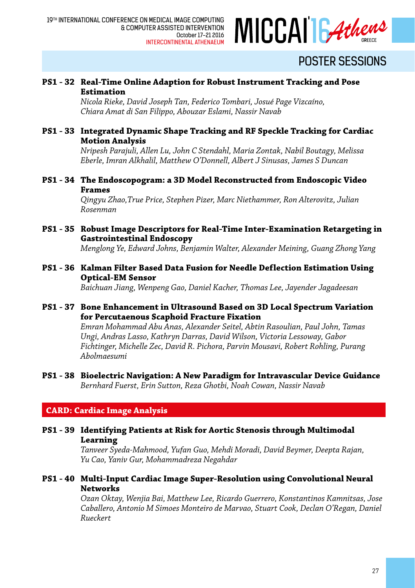

#### **PS1 - 32 Real-Time Online Adaption for Robust Instrument Tracking and Pose Estimation**

*Nicola Rieke, David Joseph Tan, Federico Tombari, Josué Page Vizcaíno, Chiara Amat di San Filippo, Abouzar Eslami, Nassir Navab*

#### **PS1 - 33 Integrated Dynamic Shape Tracking and RF Speckle Tracking for Cardiac Motion Analysis**

*Nripesh Parajuli, Allen Lu, John C Stendahl, Maria Zontak, Nabil Boutagy, Melissa Eberle, Imran Alkhalil, Matthew O'Donnell, Albert J Sinusas, James S Duncan*

**PS1 - 34 The Endoscopogram: a 3D Model Reconstructed from Endoscopic Video Frames**

> *Qingyu Zhao,True Price, Stephen Pizer, Marc Niethammer, Ron Alterovitz, Julian Rosenman*

**PS1 - 35 Robust Image Descriptors for Real-Time Inter-Examination Retargeting in Gastrointestinal Endoscopy**

*Menglong Ye, Edward Johns, Benjamin Walter, Alexander Meining, Guang Zhong Yang*

**PS1 - 36 Kalman Filter Based Data Fusion for Needle Deflection Estimation Using Optical-EM Sensor**

*Baichuan Jiang, Wenpeng Gao, Daniel Kacher, Thomas Lee, Jayender Jagadeesan*

**PS1 - 37 Bone Enhancement in Ultrasound Based on 3D Local Spectrum Variation for Percutaenous Scaphoid Fracture Fixation**

> *Emran Mohammad Abu Anas, Alexander Seitel, Abtin Rasoulian, Paul John, Tamas Ungi, Andras Lasso, Kathryn Darras, David Wilson, Victoria Lessoway, Gabor Fichtinger, Michelle Zec, David R. Pichora, Parvin Mousavi, Robert Rohling, Purang Abolmaesumi*

**PS1 - 38 Bioelectric Navigation: A New Paradigm for Intravascular Device Guidance** *Bernhard Fuerst, Erin Sutton, Reza Ghotbi, Noah Cowan, Nassir Navab*

### **CARD: Cardiac Image Analysis**

**PS1 - 39 Identifying Patients at Risk for Aortic Stenosis through Multimodal Learning**

> *Tanveer Syeda-Mahmood, Yufan Guo, Mehdi Moradi, David Beymer, Deepta Rajan, Yu Cao, Yaniv Gur, Mohammadreza Negahdar*

**PS1 - 40 Multi-Input Cardiac Image Super-Resolution using Convolutional Neural Networks**

> *Ozan Oktay, Wenjia Bai, Matthew Lee, Ricardo Guerrero, Konstantinos Kamnitsas, Jose Caballero, Antonio M Simoes Monteiro de Marvao, Stuart Cook, Declan O'Regan, Daniel Rueckert*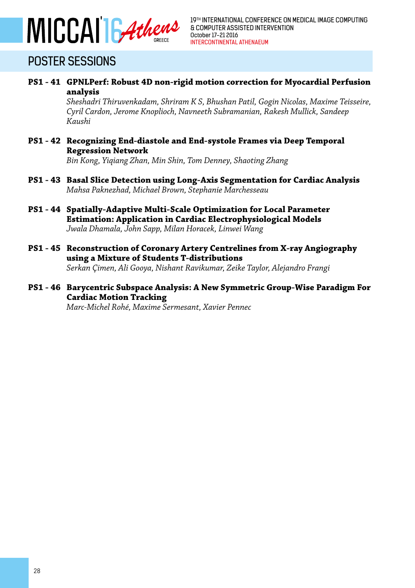

**PS1 - 41 GPNLPerf: Robust 4D non-rigid motion correction for Myocardial Perfusion analysis**

> *Sheshadri Thiruvenkadam, Shriram K S, Bhushan Patil, Gogin Nicolas, Maxime Teisseire, Cyril Cardon, Jerome Knoplioch, Navneeth Subramanian, Rakesh Mullick, Sandeep Kaushi*

**PS1 - 42 Recognizing End-diastole and End-systole Frames via Deep Temporal Regression Network**

*Bin Kong, Yiqiang Zhan, Min Shin, Tom Denney, Shaoting Zhang*

- **PS1 43 Basal Slice Detection using Long-Axis Segmentation for Cardiac Analysis** *Mahsa Paknezhad, Michael Brown, Stephanie Marchesseau*
- **PS1 44 Spatially-Adaptive Multi-Scale Optimization for Local Parameter Estimation: Application in Cardiac Electrophysiological Models** *Jwala Dhamala, John Sapp, Milan Horacek, Linwei Wang*
- **PS1 45 Reconstruction of Coronary Artery Centrelines from X-ray Angiography using a Mixture of Students T-distributions** *Serkan Çimen, Ali Gooya, Nishant Ravikumar, Zeike Taylor, Alejandro Frangi*
- **PS1 46 Barycentric Subspace Analysis: A New Symmetric Group-Wise Paradigm For Cardiac Motion Tracking**

*Marc-Michel Rohé, Maxime Sermesant, Xavier Pennec*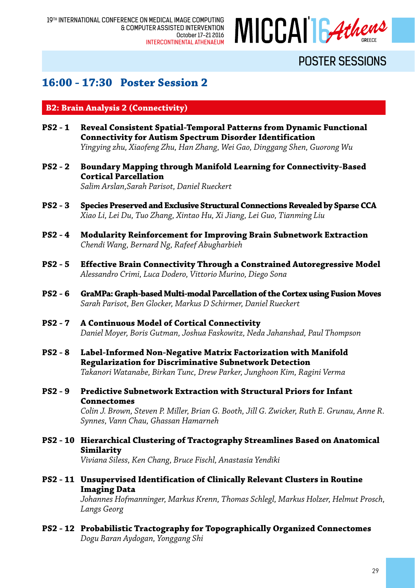

### **16:00 - 17:30 Poster Session 2**

#### **B2: Brain Analysis 2 (Connectivity)**

- **PS2 1 Reveal Consistent Spatial-Temporal Patterns from Dynamic Functional Connectivity for Autism Spectrum Disorder Identification** *Yingying zhu, Xiaofeng Zhu, Han Zhang, Wei Gao, Dinggang Shen, Guorong Wu*
- **PS2 2 Boundary Mapping through Manifold Learning for Connectivity-Based Cortical Parcellation**

*Salim Arslan,Sarah Parisot, Daniel Rueckert*

- **PS2 3 Species Preserved and Exclusive Structural Connections Revealed by Sparse CCA** *Xiao Li, Lei Du, Tuo Zhang, Xintao Hu, Xi Jiang, Lei Guo, Tianming Liu*
- **PS2 4 Modularity Reinforcement for Improving Brain Subnetwork Extraction** *Chendi Wang, Bernard Ng, Rafeef Abugharbieh*
- **PS2 5 Effective Brain Connectivity Through a Constrained Autoregressive Model** *Alessandro Crimi, Luca Dodero, Vittorio Murino, Diego Sona*
- **PS2 6 GraMPa: Graph-based Multi-modal Parcellation of the Cortex using Fusion Moves** *Sarah Parisot, Ben Glocker, Markus D Schirmer, Daniel Rueckert*
- **PS2 7 A Continuous Model of Cortical Connectivity** *Daniel Moyer, Boris Gutman, Joshua Faskowitz, Neda Jahanshad, Paul Thompson*
- **PS2 8 Label-Informed Non-Negative Matrix Factorization with Manifold Regularization for Discriminative Subnetwork Detection** *Takanori Watanabe, Birkan Tunc, Drew Parker, Junghoon Kim, Ragini Verma*
- **PS2 9 Predictive Subnetwork Extraction with Structural Priors for Infant Connectomes**

*Colin J. Brown, Steven P. Miller, Brian G. Booth, Jill G. Zwicker, Ruth E. Grunau, Anne R. Synnes, Vann Chau, Ghassan Hamarneh*

- **PS2 10 Hierarchical Clustering of Tractography Streamlines Based on Anatomical Similarity** *Viviana Siless, Ken Chang, Bruce Fischl, Anastasia Yendiki*
- **PS2 11 Unsupervised Identification of Clinically Relevant Clusters in Routine Imaging Data**

*Johannes Hofmanninger, Markus Krenn, Thomas Schlegl, Markus Holzer, Helmut Prosch, Langs Georg*

**PS2 - 12 Probabilistic Tractography for Topographically Organized Connectomes** *Dogu Baran Aydogan, Yonggang Shi*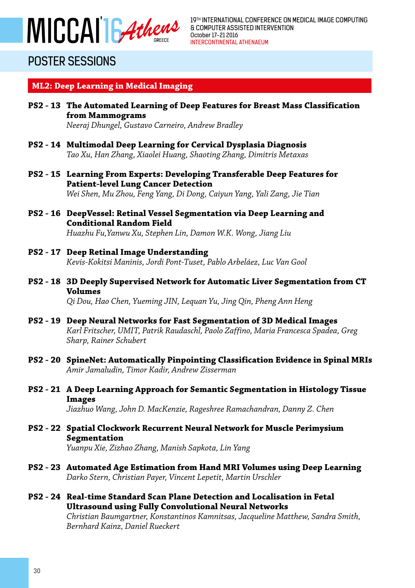

#### **ML2: Deep Learning in Medical Imaging**

- **PS2 13 The Automated Learning of Deep Features for Breast Mass Classification from Mammograms** *Neeraj Dhungel, Gustavo Carneiro, Andrew Bradley*
- **PS2 14 Multimodal Deep Learning for Cervical Dysplasia Diagnosis** *Tao Xu, Han Zhang, Xiaolei Huang, Shaoting Zhang, Dimitris Metaxas*
- **PS2 15 Learning From Experts: Developing Transferable Deep Features for Patient-level Lung Cancer Detection** *Wei Shen, Mu Zhou, Feng Yang, Di Dong, Caiyun Yang, Yali Zang, Jie Tian*
- **PS2 16 DeepVessel: Retinal Vessel Segmentation via Deep Learning and Conditional Random Field** *Huazhu Fu,Yanwu Xu, Stephen Lin, Damon W.K. Wong, Jiang Liu*
- **PS2 17 Deep Retinal Image Understanding** *Kevis-Kokitsi Maninis, Jordi Pont-Tuset, Pablo Arbeláez, Luc Van Gool*
- **PS2 18 3D Deeply Supervised Network for Automatic Liver Segmentation from CT Volumes** *Qi Dou, Hao Chen, Yueming JIN, Lequan Yu, Jing Qin, Pheng Ann Heng*
- **PS2 19 Deep Neural Networks for Fast Segmentation of 3D Medical Images** *Karl Fritscher, UMIT, Patrik Raudaschl, Paolo Zaffino, Maria Francesca Spadea, Greg Sharp, Rainer Schubert*
- **PS2 20 SpineNet: Automatically Pinpointing Classification Evidence in Spinal MRIs** *Amir Jamaludin, Timor Kadir, Andrew Zisserman*
- **PS2 21 A Deep Learning Approach for Semantic Segmentation in Histology Tissue Images**

*Jiazhuo Wang, John D. MacKenzie, Rageshree Ramachandran, Danny Z. Chen*

- **PS2 22 Spatial Clockwork Recurrent Neural Network for Muscle Perimysium Segmentation** *Yuanpu Xie, Zizhao Zhang, Manish Sapkota, Lin Yang*
- **PS2 23 Automated Age Estimation from Hand MRI Volumes using Deep Learning** *Darko Stern, Christian Payer, Vincent Lepetit, Martin Urschler*
- **PS2 24 Real-time Standard Scan Plane Detection and Localisation in Fetal Ultrasound using Fully Convolutional Neural Networks** *Christian Baumgartner, Konstantinos Kamnitsas, Jacqueline Matthew, Sandra Smith, Bernhard Kainz, Daniel Rueckert*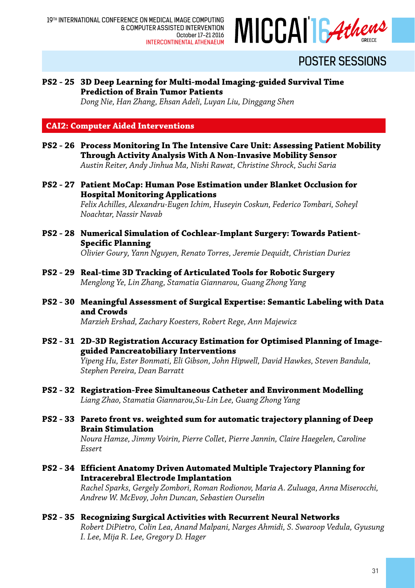

### **PS2 - 25 3D Deep Learning for Multi-modal Imaging-guided Survival Time Prediction of Brain Tumor Patients**

*Dong Nie, Han Zhang, Ehsan Adeli, Luyan Liu, Dinggang Shen*

**CAI2: Computer Aided Interventions**

- **PS2 26 Process Monitoring In The Intensive Care Unit: Assessing Patient Mobility Through Activity Analysis With A Non-Invasive Mobility Sensor** *Austin Reiter, Andy Jinhua Ma, Nishi Rawat, Christine Shrock, Suchi Saria*
- **PS2 27 Patient MoCap: Human Pose Estimation under Blanket Occlusion for Hospital Monitoring Applications**

*Felix Achilles, Alexandru-Eugen Ichim, Huseyin Coskun, Federico Tombari, Soheyl Noachtar, Nassir Navab*

- **PS2 28 Numerical Simulation of Cochlear-Implant Surgery: Towards Patient-Specific Planning** *Olivier Goury, Yann Nguyen, Renato Torres, Jeremie Dequidt, Christian Duriez*
- **PS2 29 Real-time 3D Tracking of Articulated Tools for Robotic Surgery** *Menglong Ye, Lin Zhang, Stamatia Giannarou, Guang Zhong Yang*
- **PS2 30 Meaningful Assessment of Surgical Expertise: Semantic Labeling with Data and Crowds**

*Marzieh Ershad, Zachary Koesters, Robert Rege, Ann Majewicz*

**PS2 - 31 2D-3D Registration Accuracy Estimation for Optimised Planning of Imageguided Pancreatobiliary Interventions**

*Yipeng Hu, Ester Bonmati, Eli Gibson, John Hipwell, David Hawkes, Steven Bandula, Stephen Pereira, Dean Barratt*

- **PS2 32 Registration-Free Simultaneous Catheter and Environment Modelling** *Liang Zhao, Stamatia Giannarou,Su-Lin Lee, Guang Zhong Yang*
- **PS2 33 Pareto front vs. weighted sum for automatic trajectory planning of Deep Brain Stimulation**

*Noura Hamze, Jimmy Voirin, Pierre Collet, Pierre Jannin, Claire Haegelen, Caroline Essert*

**PS2 - 34 Efficient Anatomy Driven Automated Multiple Trajectory Planning for Intracerebral Electrode Implantation**

> *Rachel Sparks, Gergely Zombori, Roman Rodionov, Maria A. Zuluaga, Anna Miserocchi, Andrew W. McEvoy, John Duncan, Sebastien Ourselin*

**PS2 - 35 Recognizing Surgical Activities with Recurrent Neural Networks** *Robert DiPietro, Colin Lea, Anand Malpani, Narges Ahmidi, S. Swaroop Vedula, Gyusung I. Lee, Mija R. Lee, Gregory D. Hager*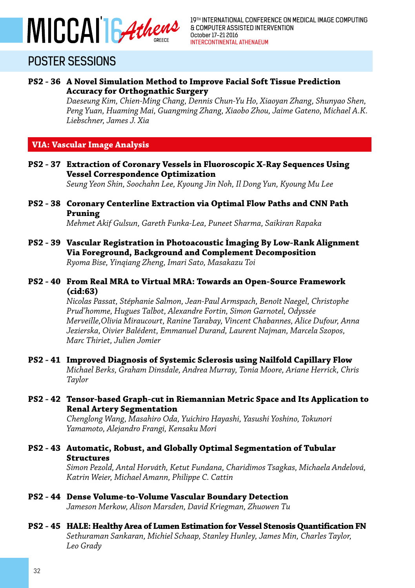

#### **PS2 - 36 A Novel Simulation Method to Improve Facial Soft Tissue Prediction Accuracy for Orthognathic Surgery**

*Daeseung Kim, Chien-Ming Chang, Dennis Chun-Yu Ho, Xiaoyan Zhang, Shunyao Shen, Peng Yuan, Huaming Mai, Guangming Zhang, Xiaobo Zhou, Jaime Gateno, Michael A.K. Liebschner, James J. Xia*

#### **VIA: Vascular Image Analysis**

**PS2 - 37 Extraction of Coronary Vessels in Fluoroscopic X-Ray Sequences Using Vessel Correspondence Optimization**

*Seung Yeon Shin, Soochahn Lee, Kyoung Jin Noh, Il Dong Yun, Kyoung Mu Lee* 

**PS2 - 38 Coronary Centerline Extraction via Optimal Flow Paths and CNN Path Pruning**

*Mehmet Akif Gulsun, Gareth Funka-Lea, Puneet Sharma, Saikiran Rapaka*

**PS2 - 39 Vascular Registration in Photoacoustic İmaging By Low-Rank Alignment Via Foreground, Background and Complement Decomposition** *Ryoma Bise, Yinqiang Zheng, Imari Sato, Masakazu Toi*

#### **PS2 - 40 From Real MRA to Virtual MRA: Towards an Open-Source Framework (cid:63)**

*Nicolas Passat, Stéphanie Salmon, Jean-Paul Armspach, Benoît Naegel, Christophe Prud'homme, Hugues Talbot, Alexandre Fortin, Simon Garnotel, Odyssée Merveille,Olivia Miraucourt, Ranine Tarabay, Vincent Chabannes, Alice Dufour, Anna Jezierska, Oivier Balédent, Emmanuel Durand, Laurent Najman, Marcela Szopos, Marc Thiriet, Julien Jomier*

**PS2 - 41 Improved Diagnosis of Systemic Sclerosis using Nailfold Capillary Flow** *Michael Berks, Graham Dinsdale, Andrea Murray, Tonia Moore, Ariane Herrick, Chris Taylor* 

#### **PS2 - 42 Tensor-based Graph-cut in Riemannian Metric Space and Its Application to Renal Artery Segmentation**

*Chenglong Wang, Masahiro Oda, Yuichiro Hayashi, Yasushi Yoshino, Tokunori Yamamoto, Alejandro Frangi, Kensaku Mori*

#### **PS2 - 43 Automatic, Robust, and Globally Optimal Segmentation of Tubular Structures**

*Simon Pezold, Antal Horváth, Ketut Fundana, Charidimos Tsagkas, Michaela Andelová, Katrin Weier, Michael Amann, Philippe C. Cattin* 

#### **PS2 - 44 Dense Volume-to-Volume Vascular Boundary Detection** *Jameson Merkow, Alison Marsden, David Kriegman, Zhuowen Tu*

#### **PS2 - 45 HALE: Healthy Area of Lumen Estimation for Vessel Stenosis Quantification FN** *Sethuraman Sankaran, Michiel Schaap, Stanley Hunley, James Min, Charles Taylor, Leo Grady*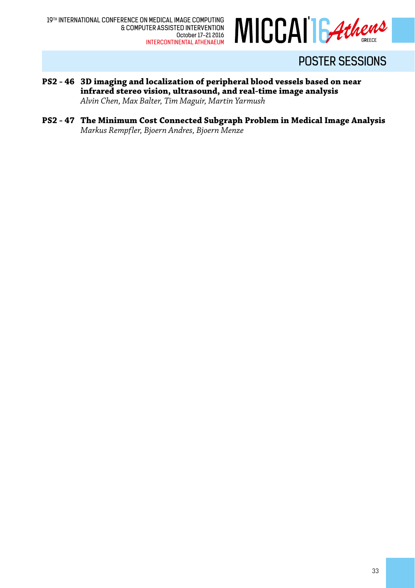

- **PS2 46 3D imaging and localization of peripheral blood vessels based on near infrared stereo vision, ultrasound, and real-time image analysis** *Alvin Chen, Max Balter, Tim Maguir, Martin Yarmush*
- **PS2 47 The Minimum Cost Connected Subgraph Problem in Medical Image Analysis** *Markus Rempfler, Bjoern Andres, Bjoern Menze*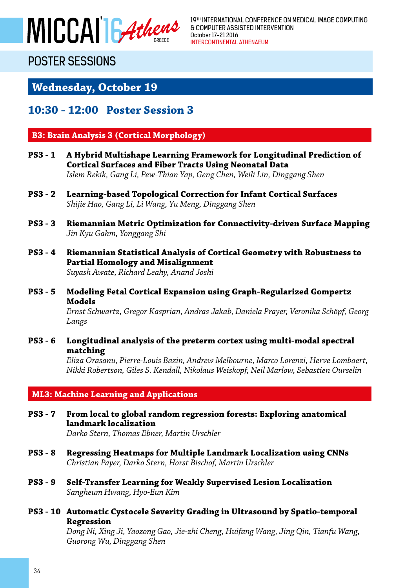

19TH INTERNATIONAL CONFERENCE ON MEDICAL IMAGE COMPUTING & COMPUTER ASSISTED INTERVENTION October 17-21 2016 INTERCONTINENTAL ATHENAEUM

### POSTER SESSIONS

**Wednesday, October 19**

### **10:30 - 12:00 Poster Session 3**

#### **B3: Brain Analysis 3 (Cortical Morphology)**

- **PS3 1 A Hybrid Multishape Learning Framework for Longitudinal Prediction of Cortical Surfaces and Fiber Tracts Using Neonatal Data** *Islem Rekik, Gang Li, Pew-Thian Yap, Geng Chen, Weili Lin, Dinggang Shen*
- **PS3 2 Learning-based Topological Correction for Infant Cortical Surfaces** *Shijie Hao, Gang Li, Li Wang, Yu Meng, Dinggang Shen*
- **PS3 3 Riemannian Metric Optimization for Connectivity-driven Surface Mapping** *Jin Kyu Gahm, Yonggang Shi*
- **PS3 4 Riemannian Statistical Analysis of Cortical Geometry with Robustness to Partial Homology and Misalignment** *Suyash Awate, Richard Leahy, Anand Joshi*
- **PS3 5 Modeling Fetal Cortical Expansion using Graph-Regularized Gompertz Models** *Ernst Schwartz, Gregor Kasprian, Andras Jakab, Daniela Prayer, Veronika Schöpf, Georg Langs*
- **PS3 6 Longitudinal analysis of the preterm cortex using multi-modal spectral matching**

*Eliza Orasanu, Pierre-Louis Bazin, Andrew Melbourne, Marco Lorenzi, Herve Lombaert, Nikki Robertson, Giles S. Kendall, Nikolaus Weiskopf, Neil Marlow, Sebastien Ourselin*

#### **ML3: Machine Learning and Applications**

- **PS3 7 From local to global random regression forests: Exploring anatomical landmark localization** *Darko Stern, Thomas Ebner, Martin Urschler*
	-
- **PS3 8 Regressing Heatmaps for Multiple Landmark Localization using CNNs** *Christian Payer, Darko Stern, Horst Bischof, Martin Urschler*
- **PS3 9 Self-Transfer Learning for Weakly Supervised Lesion Localization** *Sangheum Hwang, Hyo-Eun Kim*
- **PS3 10 Automatic Cystocele Severity Grading in Ultrasound by Spatio-temporal Regression**

*Dong Ni, Xing Ji, Yaozong Gao, Jie-zhi Cheng, Huifang Wang, Jing Qin, Tianfu Wang, Guorong Wu, Dinggang Shen*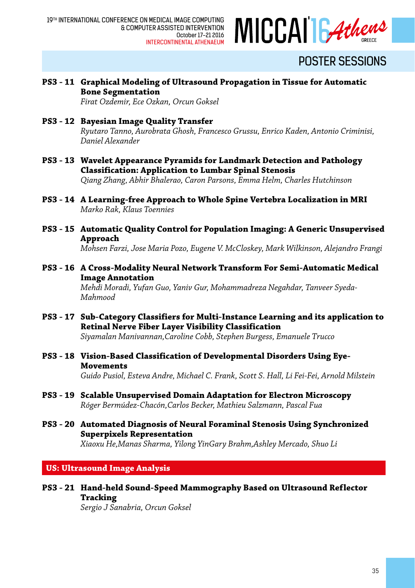

**PS3 - 11 Graphical Modeling of Ultrasound Propagation in Tissue for Automatic Bone Segmentation**

*Firat Ozdemir, Ece Ozkan, Orcun Goksel*

- **PS3 12 Bayesian Image Quality Transfer** *Ryutaro Tanno, Aurobrata Ghosh, Francesco Grussu, Enrico Kaden, Antonio Criminisi, Daniel Alexander*
- **PS3 13 Wavelet Appearance Pyramids for Landmark Detection and Pathology Classification: Application to Lumbar Spinal Stenosis** *Qiang Zhang, Abhir Bhalerao, Caron Parsons, Emma Helm, Charles Hutchinson*
- **PS3 14 A Learning-free Approach to Whole Spine Vertebra Localization in MRI** *Marko Rak, Klaus Toennies*
- **PS3 15 Automatic Quality Control for Population Imaging: A Generic Unsupervised Approach**

*Mohsen Farzi, Jose Maria Pozo, Eugene V. McCloskey, Mark Wilkinson, Alejandro Frangi*

**PS3 - 16 A Cross-Modality Neural Network Transform For Semi-Automatic Medical Image Annotation**

*Mehdi Moradi, Yufan Guo, Yaniv Gur, Mohammadreza Negahdar, Tanveer Syeda-Mahmood*

- **PS3 17 Sub-Category Classifiers for Multi-Instance Learning and its application to Retinal Nerve Fiber Layer Visibility Classification** *Siyamalan Manivannan,Caroline Cobb, Stephen Burgess, Emanuele Trucco*
- **PS3 18 Vision-Based Classification of Developmental Disorders Using Eye-Movements** *Guido Pusiol, Esteva Andre, Michael C. Frank, Scott S. Hall, Li Fei-Fei, Arnold Milstein*
- **PS3 19 Scalable Unsupervised Domain Adaptation for Electron Microscopy** *Róger Bermúdez-Chacón,Carlos Becker, Mathieu Salzmann, Pascal Fua*
- **PS3 20 Automated Diagnosis of Neural Foraminal Stenosis Using Synchronized Superpixels Representation** *Xiaoxu He,Manas Sharma, Yilong YinGary Brahm,Ashley Mercado, Shuo Li*

**US: Ultrasound Image Analysis**

 **PS3 - 21 Hand-held Sound-Speed Mammography Based on Ultrasound Reflector Tracking**

*Sergio J Sanabria, Orcun Goksel*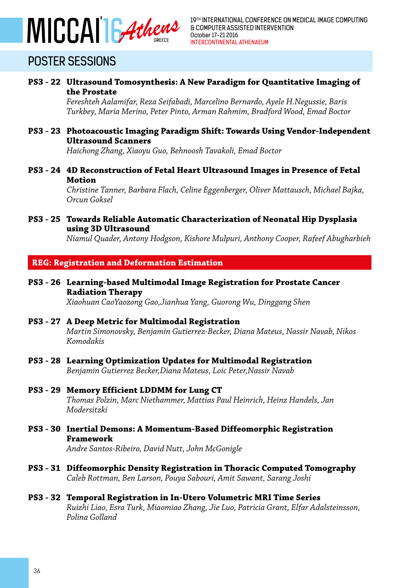

**PS3 - 22 Ultrasound Tomosynthesis: A New Paradigm for Quantitative Imaging of the Prostate**

> *Fereshteh Aalamifar, Reza Seifabadi, Marcelino Bernardo, Ayele H.Negussie, Baris Turkbey, Maria Merino, Peter Pinto, Arman Rahmim, Bradford Wood, Emad Boctor*

**PS3 - 23 Photoacoustic Imaging Paradigm Shift: Towards Using Vendor-Independent Ultrasound Scanners**

*Haichong Zhang, Xiaoyu Guo, Behnoosh Tavakoli, Emad Boctor* 

**PS3 - 24 4D Reconstruction of Fetal Heart Ultrasound Images in Presence of Fetal Motion**

> *Christine Tanner, Barbara Flach, Celine Eggenberger, Oliver Mattausch, Michael Bajka, Orcun Goksel*

**PS3 - 25 Towards Reliable Automatic Characterization of Neonatal Hip Dysplasia using 3D Ultrasound**

*Niamul Quader, Antony Hodgson, Kishore Mulpuri, Anthony Cooper, Rafeef Abugharbieh*

#### **REG: Registration and Deformation Estimation**

**PS3 - 26 Learning-based Multimodal Image Registration for Prostate Cancer Radiation Therapy**

*Xiaohuan CaoYaozong Gao,Jianhua Yang, Guorong Wu, Dinggang Shen*

**PS3 - 27 A Deep Metric for Multimodal Registration**

*Martin Simonovsky, Benjamin Gutierrez-Becker, Diana Mateus, Nassir Navab, Nikos Komodakis*

- **PS3 28 Learning Optimization Updates for Multimodal Registration** *Benjamin Gutierrez Becker,Diana Mateus, Loic Peter,Nassir Navab*
- **PS3 29 Memory Efficient LDDMM for Lung CT** *Thomas Polzin, Marc Niethammer, Mattias Paul Heinrich, Heinz Handels, Jan Modersitzki*
- **PS3 30 Inertial Demons: A Momentum-Based Diffeomorphic Registration Framework**

*Andre Santos-Ribeiro, David Nutt, John McGonigle*

- **PS3 31 Diffeomorphic Density Registration in Thoracic Computed Tomography** *Caleb Rottman, Ben Larson, Pouya Sabouri, Amit Sawant, Sarang Joshi*
- **PS3 32 Temporal Registration in In-Utero Volumetric MRI Time Series** *Ruizhi Liao, Esra Turk, Miaomiao Zhang, Jie Luo, Patricia Grant, Elfar Adalsteinsson, Polina Golland*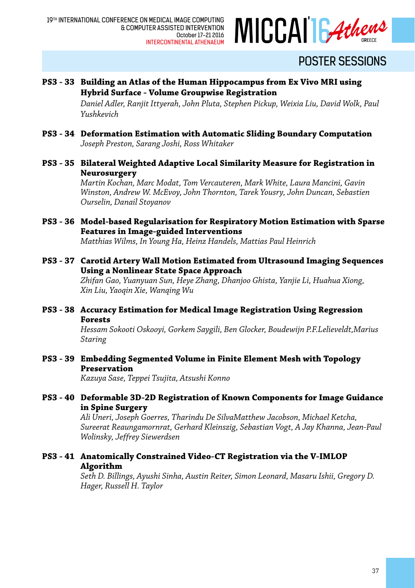

### **PS3 - 33 Building an Atlas of the Human Hippocampus from Ex Vivo MRI using Hybrid Surface - Volume Groupwise Registration**

*Daniel Adler, Ranjit Ittyerah, John Pluta, Stephen Pickup, Weixia Liu, David Wolk, Paul Yushkevich*

- **PS3 34 Deformation Estimation with Automatic Sliding Boundary Computation** *Joseph Preston, Sarang Joshi, Ross Whitaker*
- **PS3 35 Bilateral Weighted Adaptive Local Similarity Measure for Registration in Neurosurgery**

*Martin Kochan, Marc Modat, Tom Vercauteren, Mark White, Laura Mancini, Gavin Winston, Andrew W. McEvoy, John Thornton, Tarek Yousry, John Duncan, Sebastien Ourselin, Danail Stoyanov*

- **PS3 36 Model-based Regularisation for Respiratory Motion Estimation with Sparse Features in Image-guided Interventions** *Matthias Wilms, In Young Ha, Heinz Handels, Mattias Paul Heinrich*
- **PS3 37 Carotid Artery Wall Motion Estimated from Ultrasound Imaging Sequences Using a Nonlinear State Space Approach** *Zhifan Gao, Yuanyuan Sun, Heye Zhang, Dhanjoo Ghista, Yanjie Li, Huahua Xiong, Xin Liu, Yaoqin Xie, Wanqing Wu*
- **PS3 38 Accuracy Estimation for Medical Image Registration Using Regression Forests**

*Hessam Sokooti Oskooyi, Gorkem Saygili, Ben Glocker, Boudewijn P.F.Lelieveldt,Marius Staring*

**PS3 - 39 Embedding Segmented Volume in Finite Element Mesh with Topology Preservation**

*Kazuya Sase, Teppei Tsujita, Atsushi Konno*

#### **PS3 - 40 Deformable 3D-2D Registration of Known Components for Image Guidance in Spine Surgery**

*Ali Uneri, Joseph Goerres, Tharindu De SilvaMatthew Jacobson, Michael Ketcha, Sureerat Reaungamornrat, Gerhard Kleinszig, Sebastian Vogt, A Jay Khanna, Jean-Paul Wolinsky, Jeffrey Siewerdsen*

**PS3 - 41 Anatomically Constrained Video-CT Registration via the V-IMLOP Algorithm**

> *Seth D. Billings, Ayushi Sinha, Austin Reiter, Simon Leonard, Masaru Ishii, Gregory D. Hager, Russell H. Taylor*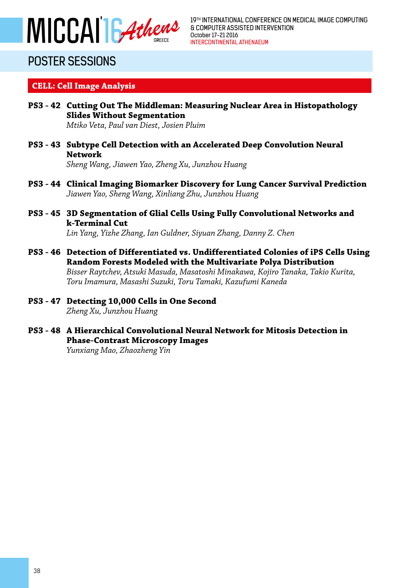

19TH INTERNATIONAL CONFERENCE ON MEDICAL IMAGE COMPUTING & COMPUTER ASSISTED INTERVENTION October 17-21 2016 INTERCONTINENTAL ATHENAEUM

# POSTER SESSIONS

### **CELL: Cell Image Analysis**

- **PS3 42 Cutting Out The Middleman: Measuring Nuclear Area in Histopathology Slides Without Segmentation** *Mtiko Veta, Paul van Diest, Josien Pluim*
- **PS3 43 Subtype Cell Detection with an Accelerated Deep Convolution Neural Network**

*Sheng Wang, Jiawen Yao, Zheng Xu, Junzhou Huang*

- **PS3 44 Clinical Imaging Biomarker Discovery for Lung Cancer Survival Prediction** *Jiawen Yao, Sheng Wang, Xinliang Zhu, Junzhou Huang*
- **PS3 45 3D Segmentation of Glial Cells Using Fully Convolutional Networks and k-Terminal Cut**

*Lin Yang, Yizhe Zhang, Ian Guldner, Siyuan Zhang, Danny Z. Chen*

- **PS3 46 Detection of Differentiated vs. Undifferentiated Colonies of iPS Cells Using Random Forests Modeled with the Multivariate Polya Distribution** *Bisser Raytchev, Atsuki Masuda, Masatoshi Minakawa, Kojiro Tanaka, Takio Kurita, Toru Imamura, Masashi Suzuki, Toru Tamaki, Kazufumi Kaneda*
- **PS3 47 Detecting 10,000 Cells in One Second** *Zheng Xu, Junzhou Huang*
- **PS3 48 A Hierarchical Convolutional Neural Network for Mitosis Detection in Phase-Contrast Microscopy Images**

*Yunxiang Mao, Zhaozheng Yin*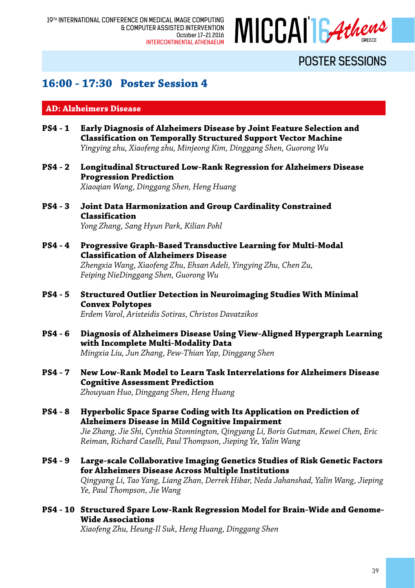

### **16:00 - 17:30 Poster Session 4**

#### **AD: Alzheimers Disease**

- **PS4 1 Early Diagnosis of Alzheimers Disease by Joint Feature Selection and Classification on Temporally Structured Support Vector Machine** *Yingying zhu, Xiaofeng zhu, Minjeong Kim, Dinggang Shen, Guorong Wu*
- **PS4 2 Longitudinal Structured Low-Rank Regression for Alzheimers Disease Progression Prediction**

*Xiaoqian Wang, Dinggang Shen, Heng Huang*

- **PS4 3 Joint Data Harmonization and Group Cardinality Constrained Classification** *Yong Zhang, Sang Hyun Park, Kilian Pohl*
- **PS4 4 Progressive Graph-Based Transductive Learning for Multi-Modal Classification of Alzheimers Disease** *Zhengxia Wang, Xiaofeng Zhu, Ehsan Adeli, Yingying Zhu, Chen Zu, Feiping NieDinggang Shen, Guorong Wu*
- **PS4 5 Structured Outlier Detection in Neuroimaging Studies With Minimal Convex Polytopes** *Erdem Varol, Aristeidis Sotiras, Christos Davatzikos*
- **PS4 6 Diagnosis of Alzheimers Disease Using View-Aligned Hypergraph Learning with Incomplete Multi-Modality Data** *Mingxia Liu, Jun Zhang, Pew-Thian Yap, Dinggang Shen*
- **PS4 7 New Low-Rank Model to Learn Task Interrelations for Alzheimers Disease Cognitive Assessment Prediction** *Zhouyuan Huo, Dinggang Shen, Heng Huang*
- **PS4 8 Hyperbolic Space Sparse Coding with Its Application on Prediction of Alzheimers Disease in Mild Cognitive Impairment** *Jie Zhang, Jie Shi, Cynthia Stonnington, Qingyang Li, Boris Gutman, Kewei Chen, Eric Reiman, Richard Caselli, Paul Thompson, Jieping Ye, Yalin Wang*
- **PS4 9 Large-scale Collaborative Imaging Genetics Studies of Risk Genetic Factors for Alzheimers Disease Across Multiple Institutions** *Qingyang Li, Tao Yang, Liang Zhan, Derrek Hibar, Neda Jahanshad, Yalin Wang, Jieping Ye, Paul Thompson, Jie Wang*
- **PS4 10 Structured Spare Low-Rank Regression Model for Brain-Wide and Genome-Wide Associations**

*Xiaofeng Zhu, Heung-Il Suk, Heng Huang, Dinggang Shen*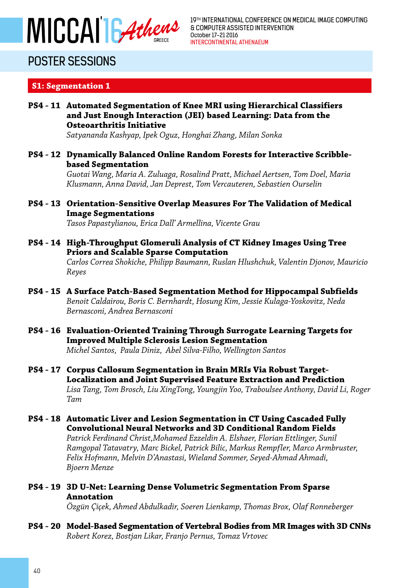

### **S1: Segmentation 1**

 **PS4 - 11 Automated Segmentation of Knee MRI using Hierarchical Classifiers and Just Enough Interaction (JEI) based Learning: Data from the Osteoarthritis Initiative**

*Satyananda Kashyap, Ipek Oguz, Honghai Zhang, Milan Sonka*

**PS4 - 12 Dynamically Balanced Online Random Forests for Interactive Scribblebased Segmentation**

> *Guotai Wang, Maria A. Zuluaga, Rosalind Pratt, Michael Aertsen, Tom Doel, Maria Klusmann, Anna David, Jan Deprest, Tom Vercauteren, Sebastien Ourselin*

**PS4 - 13 Orientation-Sensitive Overlap Measures For The Validation of Medical Image Segmentations**

*Tasos Papastylianou, Erica Dall' Armellina, Vicente Grau*

- **PS4 14 High-Throughput Glomeruli Analysis of CT Kidney Images Using Tree Priors and Scalable Sparse Computation** *Carlos Correa Shokiche, Philipp Baumann, Ruslan Hlushchuk, Valentin Djonov, Mauricio Reyes*
- **PS4 15 A Surface Patch-Based Segmentation Method for Hippocampal Subfields** *Benoit Caldairou, Boris C. Bernhardt, Hosung Kim, Jessie Kulaga-Yoskovitz, Neda Bernasconi, Andrea Bernasconi*
- **PS4 16 Evaluation-Oriented Training Through Surrogate Learning Targets for Improved Multiple Sclerosis Lesion Segmentation** *Michel Santos, Paula Diniz, Abel Silva-Filho, Wellington Santos*
- **PS4 17 Corpus Callosum Segmentation in Brain MRIs Via Robust Target-Localization and Joint Supervised Feature Extraction and Prediction** *Lisa Tang, Tom Brosch, Liu XingTong, Youngjin Yoo, Traboulsee Anthony, David Li, Roger Tam*
- **PS4 18 Automatic Liver and Lesion Segmentation in CT Using Cascaded Fully Convolutional Neural Networks and 3D Conditional Random Fields** *Patrick Ferdinand Christ,Mohamed Ezzeldin A. Elshaer, Florian Ettlinger, Sunil Ramgopal Tatavatry, Marc Bickel, Patrick Bilic, Markus Rempfler, Marco Armbruster, Felix Hofmann, Melvin D'Anastasi, Wieland Sommer, Seyed-Ahmad Ahmadi, Bjoern Menze*
- **PS4 19 3D U-Net: Learning Dense Volumetric Segmentation From Sparse Annotation**

*Özgün Çiçek, Ahmed Abdulkadir, Soeren Lienkamp, Thomas Brox, Olaf Ronneberger*

**PS4 - 20 Model-Based Segmentation of Vertebral Bodies from MR Images with 3D CNNs** *Robert Korez, Bostjan Likar, Franjo Pernus, Tomaz Vrtovec*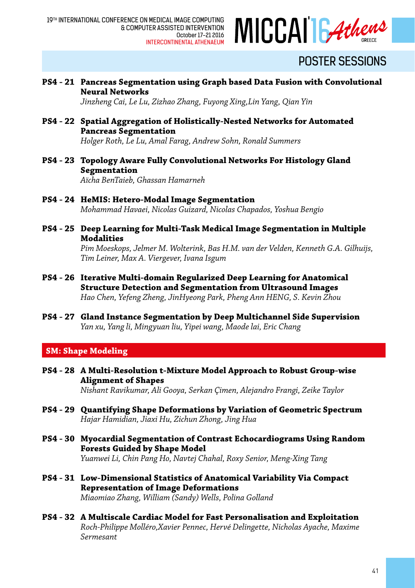

**PS4 - 21 Pancreas Segmentation using Graph based Data Fusion with Convolutional Neural Networks**

*Jinzheng Cai, Le Lu, Zizhao Zhang, Fuyong Xing,Lin Yang, Qian Yin*

- **PS4 22 Spatial Aggregation of Holistically-Nested Networks for Automated Pancreas Segmentation** *Holger Roth, Le Lu, Amal Farag, Andrew Sohn, Ronald Summers*
	-
- **PS4 23 Topology Aware Fully Convolutional Networks For Histology Gland Segmentation** *Aïcha BenTaieb, Ghassan Hamarneh*
- **PS4 24 HeMIS: Hetero-Modal Image Segmentation** *Mohammad Havaei, Nicolas Guizard, Nicolas Chapados, Yoshua Bengio*
- **PS4 25 Deep Learning for Multi-Task Medical Image Segmentation in Multiple Modalities**

*Pim Moeskops, Jelmer M. Wolterink, Bas H.M. van der Velden, Kenneth G.A. Gilhuijs, Tim Leiner, Max A. Viergever, Ivana Isgum*

- **PS4 26 Iterative Multi-domain Regularized Deep Learning for Anatomical Structure Detection and Segmentation from Ultrasound Images** *Hao Chen, Yefeng Zheng, JinHyeong Park, Pheng Ann HENG, S. Kevin Zhou*
- **PS4 27 Gland Instance Segmentation by Deep Multichannel Side Supervision** *Yan xu, Yang li, Mingyuan liu, Yipei wang, Maode lai, Eric Chang*

### **SM: Shape Modeling**

**PS4 - 28 A Multi-Resolution t-Mixture Model Approach to Robust Group-wise Alignment of Shapes** *Nishant Ravikumar, Ali Gooya, Serkan Çimen, Alejandro Frangi, Zeike Taylor*

**PS4 - 29 Quantifying Shape Deformations by Variation of Geometric Spectrum** *Hajar Hamidian, Jiaxi Hu, Zichun Zhong, Jing Hua*

- **PS4 30 Myocardial Segmentation of Contrast Echocardiograms Using Random Forests Guided by Shape Model** *Yuanwei Li, Chin Pang Ho, Navtej Chahal, Roxy Senior, Meng-Xing Tang*
- **PS4 31 Low-Dimensional Statistics of Anatomical Variability Via Compact Representation of Image Deformations** *Miaomiao Zhang, William (Sandy) Wells, Polina Golland*
- **PS4 32 A Multiscale Cardiac Model for Fast Personalisation and Exploitation** *Roch-Philippe Molléro,Xavier Pennec, Hervé Delingette, Nicholas Ayache, Maxime Sermesant*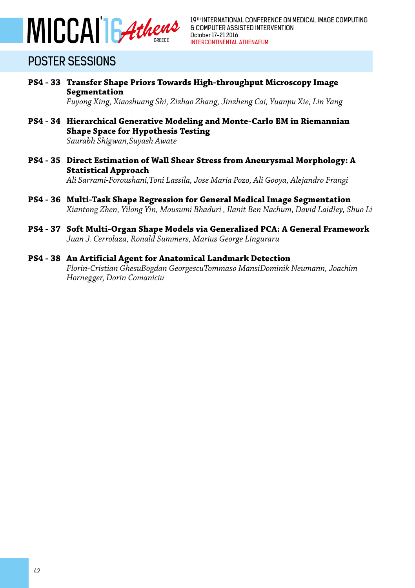

**PS4 - 33 Transfer Shape Priors Towards High-throughput Microscopy Image Segmentation**

*Fuyong Xing, Xiaoshuang Shi, Zizhao Zhang, Jinzheng Cai, Yuanpu Xie, Lin Yang*

- **PS4 34 Hierarchical Generative Modeling and Monte-Carlo EM in Riemannian Shape Space for Hypothesis Testing** *Saurabh Shigwan,Suyash Awate*
- **PS4 35 Direct Estimation of Wall Shear Stress from Aneurysmal Morphology: A Statistical Approach** *Ali Sarrami-Foroushani,Toni Lassila, Jose Maria Pozo, Ali Gooya, Alejandro Frangi*
- **PS4 36 Multi-Task Shape Regression for General Medical Image Segmentation** *Xiantong Zhen, Yilong Yin, Mousumi Bhaduri , Ilanit Ben Nachum, David Laidley, Shuo Li*
- **PS4 37 Soft Multi-Organ Shape Models via Generalized PCA: A General Framework** *Juan J. Cerrolaza, Ronald Summers, Marius George Linguraru*
- **PS4 38 An Artificial Agent for Anatomical Landmark Detection** *Florin-Cristian GhesuBogdan GeorgescuTommaso MansiDominik Neumann, Joachim Hornegger, Dorin Comaniciu*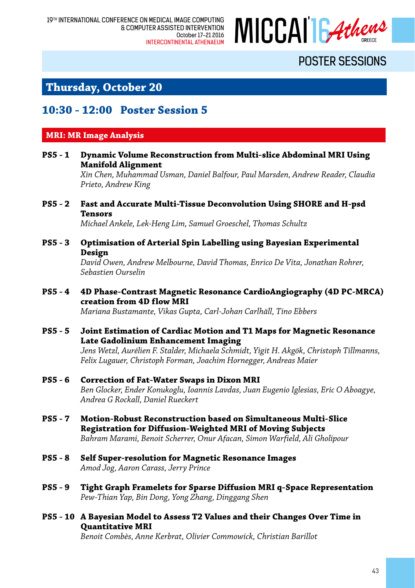

### **Thursday, October 20**

### **10:30 - 12:00 Poster Session 5**

### **MRI: MR Image Analysis**

**PS5 - 1 Dynamic Volume Reconstruction from Multi-slice Abdominal MRI Using Manifold Alignment**

> *Xin Chen, Muhammad Usman, Daniel Balfour, Paul Marsden, Andrew Reader, Claudia Prieto, Andrew King*

**PS5 - 2 Fast and Accurate Multi-Tissue Deconvolution Using SHORE and H-psd Tensors**

*Michael Ankele, Lek-Heng Lim, Samuel Groeschel, Thomas Schultz*

**PS5 - 3 Optimisation of Arterial Spin Labelling using Bayesian Experimental Design**

> *David Owen, Andrew Melbourne, David Thomas, Enrico De Vita, Jonathan Rohrer, Sebastien Ourselin*

**PS5 - 4 4D Phase-Contrast Magnetic Resonance CardioAngiography (4D PC-MRCA) creation from 4D flow MRI**

*Mariana Bustamante, Vikas Gupta, Carl-Johan Carlhäll, Tino Ebbers*

- **PS5 5 Joint Estimation of Cardiac Motion and T1 Maps for Magnetic Resonance Late Gadolinium Enhancement Imaging** *Jens Wetzl, Aurélien F. Stalder, Michaela Schmidt, Yigit H. Akgök, Christoph Tillmanns, Felix Lugauer, Christoph Forman, Joachim Hornegger, Andreas Maier*
- **PS5 6 Correction of Fat-Water Swaps in Dixon MRI** *Ben Glocker, Ender Konukoglu, Ioannis Lavdas, Juan Eugenio Iglesias, Eric O Aboagye, Andrea G Rockall, Daniel Rueckert*
- **PS5 7 Motion-Robust Reconstruction based on Simultaneous Multi-Slice Registration for Diffusion-Weighted MRI of Moving Subjects** *Bahram Marami, Benoit Scherrer, Onur Afacan, Simon Warfield, Ali Gholipour*
- **PS5 8 Self Super-resolution for Magnetic Resonance Images** *Amod Jog, Aaron Carass, Jerry Prince*
- **PS5 9 Tight Graph Framelets for Sparse Diffusion MRI q-Space Representation** *Pew-Thian Yap, Bin Dong, Yong Zhang, Dinggang Shen*
- **PS5 10 A Bayesian Model to Assess T2 Values and their Changes Over Time in Quantitative MRI**

*Benoit Combès, Anne Kerbrat, Olivier Commowick, Christian Barillot*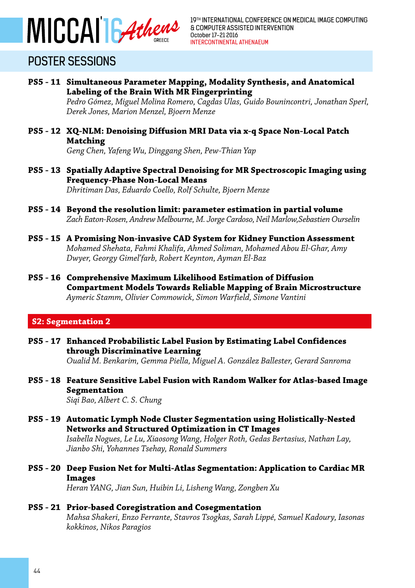

- **PS5 11 Simultaneous Parameter Mapping, Modality Synthesis, and Anatomical Labeling of the Brain With MR Fingerprinting** *Pedro Gómez, Miguel Molina Romero, Cagdas Ulas, Guido Bounincontri, Jonathan Sperl, Derek Jones, Marion Menzel, Bjoern Menze*
- **PS5 12 XQ-NLM: Denoising Diffusion MRI Data via x-q Space Non-Local Patch Matching**

*Geng Chen, Yafeng Wu, Dinggang Shen, Pew-Thian Yap*

- **PS5 13 Spatially Adaptive Spectral Denoising for MR Spectroscopic Imaging using Frequency-Phase Non-Local Means** *Dhritiman Das, Eduardo Coello, Rolf Schulte, Bjoern Menze*
- **PS5 14 Beyond the resolution limit: parameter estimation in partial volume** *Zach Eaton-Rosen, Andrew Melbourne, M. Jorge Cardoso, Neil Marlow,Sebastien Ourselin*
- **PS5 15 A Promising Non-invasive CAD System for Kidney Function Assessment** *Mohamed Shehata, Fahmi Khalifa, Ahmed Soliman, Mohamed Abou El-Ghar, Amy Dwyer, Georgy Gimel'farb, Robert Keynton, Ayman El-Baz*
- **PS5 16 Comprehensive Maximum Likelihood Estimation of Diffusion Compartment Models Towards Reliable Mapping of Brain Microstructure** *Aymeric Stamm, Olivier Commowick, Simon Warfield, Simone Vantini*

#### **S2: Segmentation 2**

- **PS5 17 Enhanced Probabilistic Label Fusion by Estimating Label Confidences through Discriminative Learning** *Oualid M. Benkarim, Gemma Piella, Miguel A. González Ballester, Gerard Sanroma*
- **PS5 18 Feature Sensitive Label Fusion with Random Walker for Atlas-based Image Segmentation** *Siqi Bao, Albert C. S. Chung*
- **PS5 19 Automatic Lymph Node Cluster Segmentation using Holistically-Nested Networks and Structured Optimization in CT Images** *Isabella Nogues, Le Lu, Xiaosong Wang, Holger Roth, Gedas Bertasius, Nathan Lay, Jianbo Shi, Yohannes Tsehay, Ronald Summers*
- **PS5 20 Deep Fusion Net for Multi-Atlas Segmentation: Application to Cardiac MR Images**

*Heran YANG, Jian Sun, Huibin Li, Lisheng Wang, Zongben Xu*

#### **PS5 - 21 Prior-based Coregistration and Cosegmentation** *Mahsa Shakeri, Enzo Ferrante, Stavros Tsogkas, Sarah Lippé, Samuel Kadoury, Iasonas kokkinos, Nikos Paragios*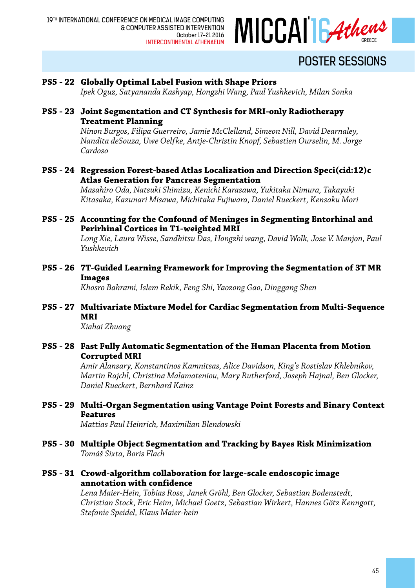

#### **PS5 - 22 Globally Optimal Label Fusion with Shape Priors**

*Ipek Oguz, Satyananda Kashyap, Hongzhi Wang, Paul Yushkevich, Milan Sonka*

**PS5 - 23 Joint Segmentation and CT Synthesis for MRI-only Radiotherapy Treatment Planning**

> *Ninon Burgos, Filipa Guerreiro, Jamie McClelland, Simeon Nill, David Dearnaley, Nandita deSouza, Uwe Oelfke, Antje-Christin Knopf, Sebastien Ourselin, M. Jorge Cardoso*

**PS5 - 24 Regression Forest-based Atlas Localization and Direction Speci(cid:12)c Atlas Generation for Pancreas Segmentation**

> *Masahiro Oda, Natsuki Shimizu, Kenichi Karasawa, Yukitaka Nimura, Takayuki Kitasaka, Kazunari Misawa, Michitaka Fujiwara, Daniel Rueckert, Kensaku Mori*

**PS5 - 25 Accounting for the Confound of Meninges in Segmenting Entorhinal and Perirhinal Cortices in T1-weighted MRI**

*Long Xie, Laura Wisse, Sandhitsu Das, Hongzhi wang, David Wolk, Jose V. Manjon, Paul Yushkevich*

**PS5 - 26 7T-Guided Learning Framework for Improving the Segmentation of 3T MR Images**

*Khosro Bahrami, Islem Rekik, Feng Shi, Yaozong Gao, Dinggang Shen*

**PS5 - 27 Multivariate Mixture Model for Cardiac Segmentation from Multi-Sequence MRI**

*Xiahai Zhuang*

**PS5 - 28 Fast Fully Automatic Segmentation of the Human Placenta from Motion Corrupted MRI**

> *Amir Alansary, Konstantinos Kamnitsas, Alice Davidson, King's Rostislav Khlebnikov, Martin Rajchl, Christina Malamateniou, Mary Rutherford, Joseph Hajnal, Ben Glocker, Daniel Rueckert, Bernhard Kainz*

**PS5 - 29 Multi-Organ Segmentation using Vantage Point Forests and Binary Context Features**

*Mattias Paul Heinrich, Maximilian Blendowski*

- **PS5 30 Multiple Object Segmentation and Tracking by Bayes Risk Minimization** *Tomáš Sixta, Boris Flach*
- **PS5 31 Crowd-algorithm collaboration for large-scale endoscopic image annotation with confidence**

*Lena Maier-Hein, Tobias Ross, Janek Gröhl, Ben Glocker, Sebastian Bodenstedt, Christian Stock, Eric Heim, Michael Goetz, Sebastian Wirkert, Hannes Götz Kenngott, Stefanie Speidel, Klaus Maier-hein*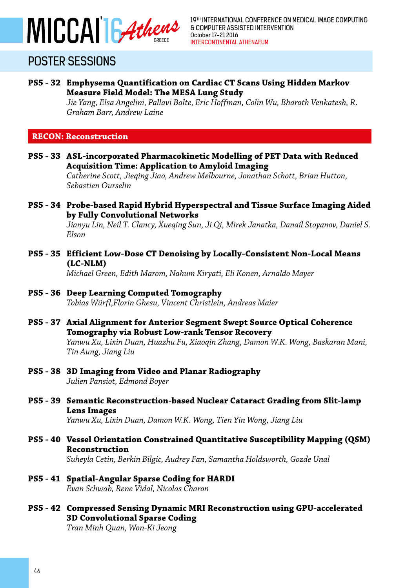

#### **PS5 - 32 Emphysema Quantification on Cardiac CT Scans Using Hidden Markov Measure Field Model: The MESA Lung Study**

*Jie Yang, Elsa Angelini, Pallavi Balte, Eric Hoffman, Colin Wu, Bharath Venkatesh, R. Graham Barr, Andrew Laine*

#### **RECON: Reconstruction**

**PS5 - 33 ASL-incorporated Pharmacokinetic Modelling of PET Data with Reduced Acquisition Time: Application to Amyloid Imaging**

*Catherine Scott, Jieqing Jiao, Andrew Melbourne, Jonathan Schott, Brian Hutton, Sebastien Ourselin*

**PS5 - 34 Probe-based Rapid Hybrid Hyperspectral and Tissue Surface Imaging Aided by Fully Convolutional Networks**

> *Jianyu Lin, Neil T. Clancy, Xueqing Sun, Ji Qi, Mirek Janatka, Danail Stoyanov, Daniel S. Elson*

**PS5 - 35 Efficient Low-Dose CT Denoising by Locally-Consistent Non-Local Means (LC-NLM)**

*Michael Green, Edith Marom, Nahum Kiryati, Eli Konen, Arnaldo Mayer*

#### **PS5 - 36 Deep Learning Computed Tomography**

*Tobias Würfl,Florin Ghesu, Vincent Christlein, Andreas Maier*

**PS5 - 37 Axial Alignment for Anterior Segment Swept Source Optical Coherence Tomography via Robust Low-rank Tensor Recovery**

> *Yanwu Xu, Lixin Duan, Huazhu Fu, Xiaoqin Zhang, Damon W.K. Wong, Baskaran Mani, Tin Aung, Jiang Liu*

#### **PS5 - 38 3D Imaging from Video and Planar Radiography** *Julien Pansiot, Edmond Boyer*

**PS5 - 39 Semantic Reconstruction-based Nuclear Cataract Grading from Slit-lamp Lens Images**

*Yanwu Xu, Lixin Duan, Damon W.K. Wong, Tien Yin Wong, Jiang Liu* 

- **PS5 40 Vessel Orientation Constrained Quantitative Susceptibility Mapping (QSM) Reconstruction** *Suheyla Cetin, Berkin Bilgic, Audrey Fan, Samantha Holdsworth, Gozde Unal*
- **PS5 41 Spatial-Angular Sparse Coding for HARDI** *Evan Schwab, Rene Vidal, Nicolas Charon*
- **PS5 42 Compressed Sensing Dynamic MRI Reconstruction using GPU-accelerated 3D Convolutional Sparse Coding** *Tran Minh Quan, Won-Ki Jeong*